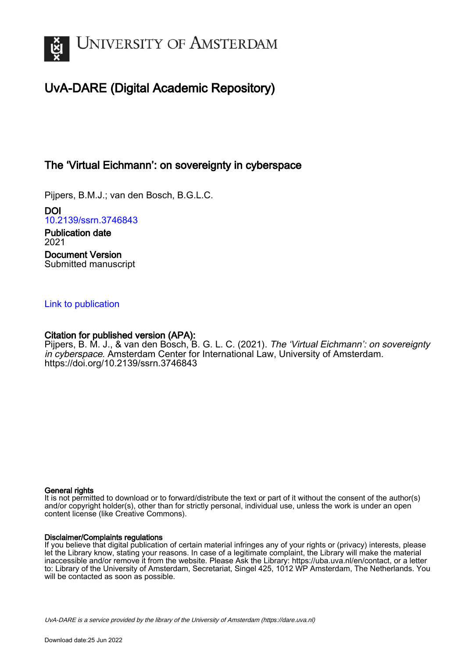

# UvA-DARE (Digital Academic Repository)

# The 'Virtual Eichmann': on sovereignty in cyberspace

Pijpers, B.M.J.; van den Bosch, B.G.L.C.

DOI [10.2139/ssrn.3746843](https://doi.org/10.2139/ssrn.3746843) Publication date 2021

Document Version Submitted manuscript

### [Link to publication](https://dare.uva.nl/personal/pure/en/publications/the-virtual-eichmann-on-sovereignty-in-cyberspace(3a2a1736-2a4f-48a6-ba3d-e1a80c56223f).html)

### Citation for published version (APA):

Pijpers, B. M. J., & van den Bosch, B. G. L. C. (2021). The 'Virtual Eichmann': on sovereignty in cyberspace. Amsterdam Center for International Law, University of Amsterdam. <https://doi.org/10.2139/ssrn.3746843>

#### General rights

It is not permitted to download or to forward/distribute the text or part of it without the consent of the author(s) and/or copyright holder(s), other than for strictly personal, individual use, unless the work is under an open content license (like Creative Commons).

#### Disclaimer/Complaints regulations

If you believe that digital publication of certain material infringes any of your rights or (privacy) interests, please let the Library know, stating your reasons. In case of a legitimate complaint, the Library will make the material inaccessible and/or remove it from the website. Please Ask the Library: https://uba.uva.nl/en/contact, or a letter to: Library of the University of Amsterdam, Secretariat, Singel 425, 1012 WP Amsterdam, The Netherlands. You will be contacted as soon as possible.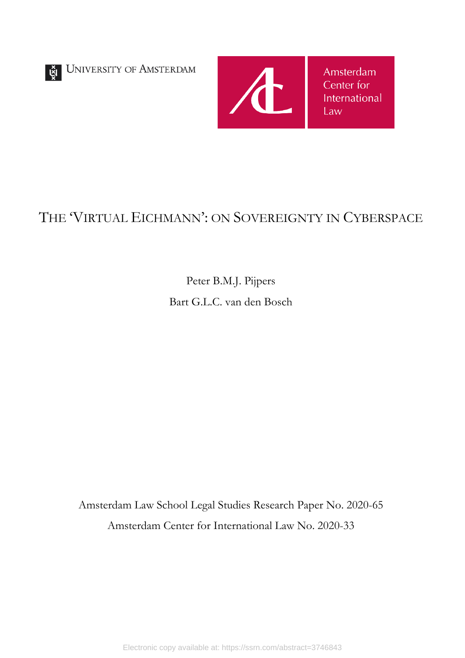UNIVERSITY OF AMSTERDAM



# THE 'VIRTUAL EICHMANN': ON SOVEREIGNTY IN CYBERSPACE

Peter B.M.J. Pijpers Bart G.L.C. van den Bosch

Amsterdam Law School Legal Studies Research Paper No. 2020-65 Amsterdam Center for International Law No. 2020-33

Electronic copy available at: https://ssrn.com/abstract=3746843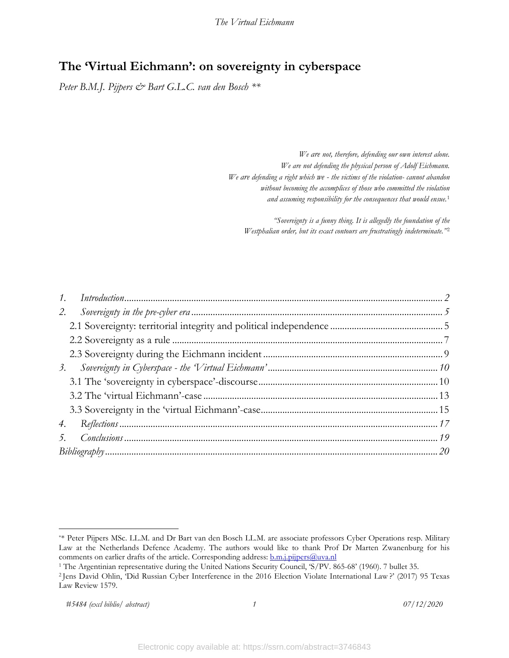# **The 'Virtual Eichmann': on sovereignty in cyberspace**

*Peter B.M.J. Pijpers & Bart G.L.C. van den Bosch \*\**

*We are not, therefore, defending our own interest alone. We are not defending the physical person of Adolf Eichmann. We are defending a right which we - the victims of the violation- cannot abandon without becoming the accomplices of those who committed the violation and assuming responsibility for the consequences that would ensue.*[1](#page-2-0)

*"Sovereignty is a funny thing. It is allegedly the foundation of the Westphalian order, but its exact contours are frustratingly indeterminate."*[2](#page-2-1)

| 2. |  |
|----|--|
|    |  |
|    |  |
|    |  |
|    |  |
|    |  |
|    |  |
|    |  |
|    |  |
|    |  |
|    |  |

<span id="page-2-0"></span><sup>\*\*</sup> Peter Pijpers MSc. LL.M. and Dr Bart van den Bosch LL.M. are associate professors Cyber Operations resp. Military Law at the Netherlands Defence Academy. The authors would like to thank Prof Dr Marten Zwanenburg for his comments on earlier drafts of the article. Corresponding address: **b.m.j.pijpers@uva.nl** 1 The Argentinian representative during the United Nations Security Council, 'S/PV. 865-68' (1960). 7 bullet 35.

<span id="page-2-1"></span><sup>&</sup>lt;sup>2</sup> Jens David Ohlin, 'Did Russian Cyber Interference in the 2016 Election Violate International Law?' (2017) 95 Texas Law Review 1579.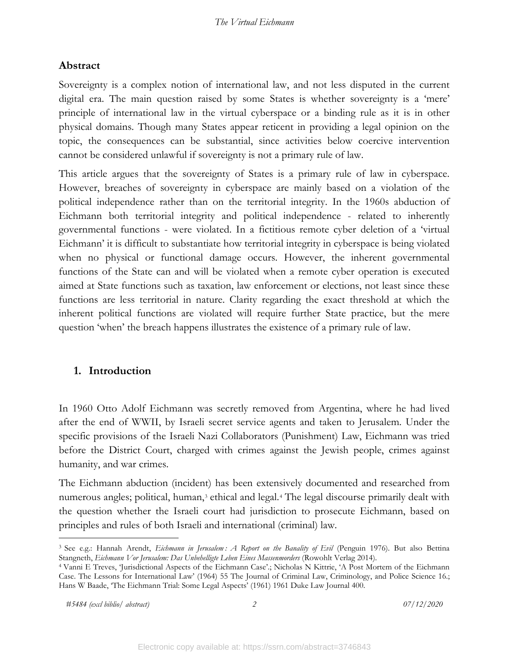### **Abstract**

Sovereignty is a complex notion of international law, and not less disputed in the current digital era. The main question raised by some States is whether sovereignty is a 'mere' principle of international law in the virtual cyberspace or a binding rule as it is in other physical domains. Though many States appear reticent in providing a legal opinion on the topic, the consequences can be substantial, since activities below coercive intervention cannot be considered unlawful if sovereignty is not a primary rule of law.

This article argues that the sovereignty of States is a primary rule of law in cyberspace. However, breaches of sovereignty in cyberspace are mainly based on a violation of the political independence rather than on the territorial integrity. In the 1960s abduction of Eichmann both territorial integrity and political independence - related to inherently governmental functions - were violated. In a fictitious remote cyber deletion of a 'virtual Eichmann' it is difficult to substantiate how territorial integrity in cyberspace is being violated when no physical or functional damage occurs. However, the inherent governmental functions of the State can and will be violated when a remote cyber operation is executed aimed at State functions such as taxation, law enforcement or elections, not least since these functions are less territorial in nature. Clarity regarding the exact threshold at which the inherent political functions are violated will require further State practice, but the mere question 'when' the breach happens illustrates the existence of a primary rule of law.

### <span id="page-3-0"></span>**1. Introduction**

In 1960 Otto Adolf Eichmann was secretly removed from Argentina, where he had lived after the end of WWII, by Israeli secret service agents and taken to Jerusalem. Under the specific provisions of the Israeli Nazi Collaborators (Punishment) Law, Eichmann was tried before the District Court, charged with crimes against the Jewish people, crimes against humanity, and war crimes.

The Eichmann abduction (incident) has been extensively documented and researched from numerous angles; political, human,<sup>[3](#page-3-1)</sup> ethical and legal.<sup>[4](#page-3-2)</sup> The legal discourse primarily dealt with the question whether the Israeli court had jurisdiction to prosecute Eichmann, based on principles and rules of both Israeli and international (criminal) law.

*#5484 (excl biblio/ abstract) 2 07/12/2020*

<span id="page-3-1"></span><sup>3</sup> See e.g.: Hannah Arendt, *Eichmann in Jerusalem : A Report on the Banality of Evil* (Penguin 1976). But also Bettina Stangneth, *Eichmann Vor Jerusalem: Das Unbehelligte Leben Eines Massenmorders* (Rowohlt Verlag 2014).

<span id="page-3-2"></span><sup>4</sup> Vanni E Treves, 'Jurisdictional Aspects of the Eichmann Case'.; Nicholas N Kittrie, 'A Post Mortem of the Eichmann Case. The Lessons for International Law' (1964) 55 The Journal of Criminal Law, Criminology, and Police Science 16.; Hans W Baade, 'The Eichmann Trial: Some Legal Aspects' (1961) 1961 Duke Law Journal 400.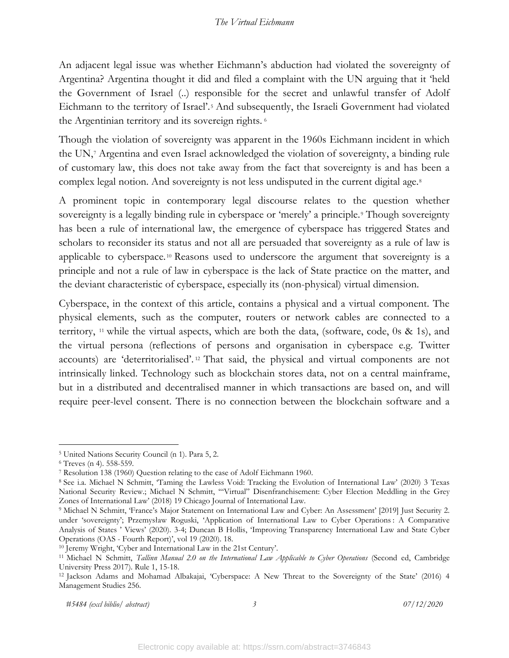An adjacent legal issue was whether Eichmann's abduction had violated the sovereignty of Argentina? Argentina thought it did and filed a complaint with the UN arguing that it 'held the Government of Israel (..) responsible for the secret and unlawful transfer of Adolf Eichmann to the territory of Israel'.[5](#page-4-0) And subsequently, the Israeli Government had violated the Argentinian territory and its sovereign rights. [6](#page-4-1)

Though the violation of sovereignty was apparent in the 1960s Eichmann incident in which the UN,[7](#page-4-2) Argentina and even Israel acknowledged the violation of sovereignty, a binding rule of customary law, this does not take away from the fact that sovereignty is and has been a complex legal notion. And sovereignty is not less undisputed in the current digital age.<sup>[8](#page-4-3)</sup>

A prominent topic in contemporary legal discourse relates to the question whether sovereignty is a legally binding rule in cyberspace or 'merely' a principle.<sup>[9](#page-4-4)</sup> Though sovereignty has been a rule of international law, the emergence of cyberspace has triggered States and scholars to reconsider its status and not all are persuaded that sovereignty as a rule of law is applicable to cyberspace. [10](#page-4-5) Reasons used to underscore the argument that sovereignty is a principle and not a rule of law in cyberspace is the lack of State practice on the matter, and the deviant characteristic of cyberspace, especially its (non-physical) virtual dimension.

Cyberspace, in the context of this article, contains a physical and a virtual component. The physical elements, such as the computer, routers or network cables are connected to a territory, [11](#page-4-6) while the virtual aspects, which are both the data, (software, code, 0s & 1s), and the virtual persona (reflections of persons and organisation in cyberspace e.g. Twitter accounts) are 'deterritorialised'. [12](#page-4-7) That said, the physical and virtual components are not intrinsically linked. Technology such as blockchain stores data, not on a central mainframe, but in a distributed and decentralised manner in which transactions are based on, and will require peer-level consent. There is no connection between the blockchain software and a

<span id="page-4-1"></span><span id="page-4-0"></span><sup>5</sup> United Nations Security Council (n 1). Para 5, 2. 6 Treves (n 4). 558-559. 7 Resolution 138 (1960) Question relating to the case of Adolf Eichmann 1960.

<span id="page-4-3"></span><span id="page-4-2"></span><sup>8</sup> See i.a. Michael N Schmitt, 'Taming the Lawless Void: Tracking the Evolution of International Law' (2020) 3 Texas National Security Review.; Michael N Schmitt, '"Virtual" Disenfranchisement: Cyber Election Meddling in the Grey Zones of International Law' (2018) 19 Chicago Journal of International Law.

<span id="page-4-4"></span><sup>9</sup> Michael N Schmitt, 'France's Major Statement on International Law and Cyber: An Assessment' [2019] Just Security 2. under 'sovereignty'; Przemysław Roguski, 'Application of International Law to Cyber Operations : A Comparative Analysis of States ' Views' (2020). 3-4; Duncan B Hollis, 'Improving Transparency International Law and State Cyber Operations (OAS - Fourth Report)', vol 19 (2020). 18. 10 Jeremy Wright, 'Cyber and International Law in the 21st Century'.

<span id="page-4-5"></span>

<span id="page-4-6"></span><sup>11</sup> Michael N Schmitt, *Tallinn Manual 2.0 on the International Law Applicable to Cyber Operations* (Second ed, Cambridge University Press 2017). Rule 1, 15-18.<br><sup>12</sup> Jackson Adams and Mohamad Albakajai, 'Cyberspace: A New Threat to the Sovereignty of the State' (2016) 4

<span id="page-4-7"></span>Management Studies 256.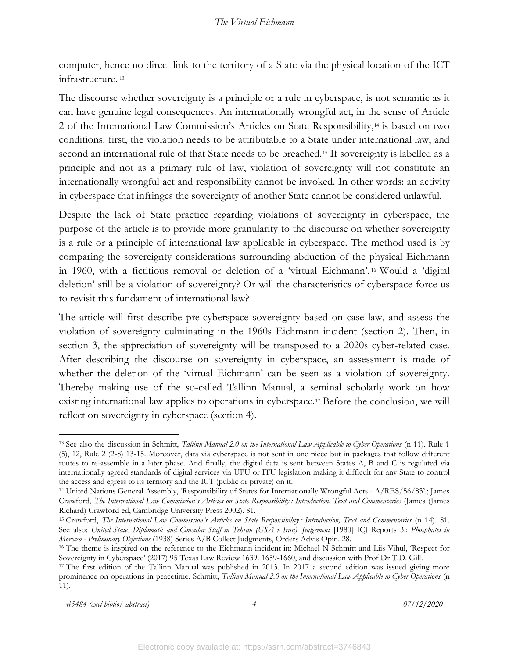computer, hence no direct link to the territory of a State via the physical location of the ICT infrastructure. [13](#page-5-0)

The discourse whether sovereignty is a principle or a rule in cyberspace, is not semantic as it can have genuine legal consequences. An internationally wrongful act, in the sense of Article 2 of the International Law Commission's Articles on State Responsibility,[14](#page-5-1) is based on two conditions: first, the violation needs to be attributable to a State under international law, and second an international rule of that State needs to be breached.<sup>[15](#page-5-2)</sup> If sovereignty is labelled as a principle and not as a primary rule of law, violation of sovereignty will not constitute an internationally wrongful act and responsibility cannot be invoked. In other words: an activity in cyberspace that infringes the sovereignty of another State cannot be considered unlawful.

Despite the lack of State practice regarding violations of sovereignty in cyberspace, the purpose of the article is to provide more granularity to the discourse on whether sovereignty is a rule or a principle of international law applicable in cyberspace. The method used is by comparing the sovereignty considerations surrounding abduction of the physical Eichmann in 1960, with a fictitious removal or deletion of a 'virtual Eichmann'. [16](#page-5-3) Would a 'digital deletion' still be a violation of sovereignty? Or will the characteristics of cyberspace force us to revisit this fundament of international law?

The article will first describe pre-cyberspace sovereignty based on case law, and assess the violation of sovereignty culminating in the 1960s Eichmann incident (section 2). Then, in section 3, the appreciation of sovereignty will be transposed to a 2020s cyber-related case. After describing the discourse on sovereignty in cyberspace, an assessment is made of whether the deletion of the 'virtual Eichmann' can be seen as a violation of sovereignty. Thereby making use of the so-called Tallinn Manual, a seminal scholarly work on how existing international law applies to operations in cyberspace.[17](#page-5-4) Before the conclusion, we will reflect on sovereignty in cyberspace (section 4).

*#5484 (excl biblio/ abstract) 4 07/12/2020*

<span id="page-5-0"></span><sup>13</sup> See also the discussion in Schmitt, *Tallinn Manual 2.0 on the International Law Applicable to Cyber Operations* (n 11). Rule 1 (5), 12, Rule 2 (2-8) 13-15. Moreover, data via cyberspace is not sent in one piece but in packages that follow different routes to re-assemble in a later phase. And finally, the digital data is sent between States A, B and C is regulated via internationally agreed standards of digital services via UPU or ITU legislation making it difficult for any State to control the access and egress to its territory and the ICT (public or private) on it.

<span id="page-5-1"></span><sup>14</sup> United Nations General Assembly, 'Responsibility of States for Internationally Wrongful Acts - A/RES/56/83'.; James Crawford, *The International Law Commission's Articles on State Responsibility : Introduction, Text and Commentaries* (James (James

<span id="page-5-2"></span>Richard) Crawford ed, Cambridge University Press 2002). 81.<br><sup>15</sup> Crawford, *The International Law Commission's Articles on State Responsibility : Introduction, Text and Commentaries (n 14). 81.* See also: *United States Diplomatic and Consular Staff in Tehran (USA v Iran), Judgement* [1980] ICJ Reports 3.; *Phosphates in Morocco - Preliminary Objections* (1938) Series A/B Collect Judgments, Orders Advis Opin. 28.<br><sup>16</sup> The theme is inspired on the reference to the Eichmann incident in: Michael N Schmitt and Liis Vihul, 'Respect for

<span id="page-5-3"></span>Sovereignty in Cyberspace' (2017) 95 Texas Law Review 1639. 1659-1660, and discussion with Prof Dr T.D. Gill. 17 The first edition of the Tallinn Manual was published in 2013. In 2017 a second edition was issued giving more

<span id="page-5-4"></span>prominence on operations in peacetime. Schmitt, *Tallinn Manual 2.0 on the International Law Applicable to Cyber Operations* (n 11).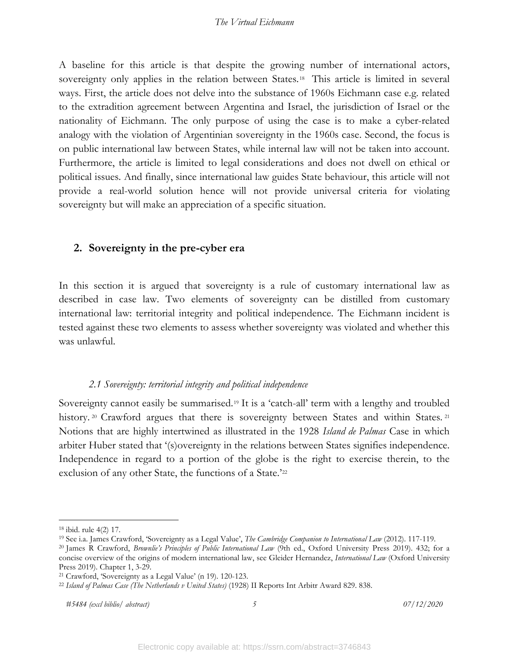A baseline for this article is that despite the growing number of international actors, sovereignty only applies in the relation between States.<sup>[18](#page-6-2)</sup> This article is limited in several ways. First, the article does not delve into the substance of 1960s Eichmann case e.g. related to the extradition agreement between Argentina and Israel, the jurisdiction of Israel or the nationality of Eichmann. The only purpose of using the case is to make a cyber-related analogy with the violation of Argentinian sovereignty in the 1960s case. Second, the focus is on public international law between States, while internal law will not be taken into account. Furthermore, the article is limited to legal considerations and does not dwell on ethical or political issues. And finally, since international law guides State behaviour, this article will not provide a real-world solution hence will not provide universal criteria for violating sovereignty but will make an appreciation of a specific situation.

### <span id="page-6-0"></span>**2. Sovereignty in the pre-cyber era**

In this section it is argued that sovereignty is a rule of customary international law as described in case law. Two elements of sovereignty can be distilled from customary international law: territorial integrity and political independence. The Eichmann incident is tested against these two elements to assess whether sovereignty was violated and whether this was unlawful.

### *2.1 Sovereignty: territorial integrity and political independence*

<span id="page-6-1"></span>Sovereignty cannot easily be summarised.[19](#page-6-3) It is a 'catch-all' term with a lengthy and troubled history.<sup>[20](#page-6-4)</sup> Crawford argues that there is sovereignty between States and within States.<sup>[21](#page-6-5)</sup> Notions that are highly intertwined as illustrated in the 1928 *Island de Palmas* Case in which arbiter Huber stated that '(s)overeignty in the relations between States signifies independence. Independence in regard to a portion of the globe is the right to exercise therein, to the exclusion of any other State, the functions of a State.'[22](#page-6-6)

<span id="page-6-2"></span><sup>18</sup> ibid. rule 4(2) 17. 19 See i.a. James Crawford, 'Sovereignty as a Legal Value', *The Cambridge Companion to International Law* (2012). 117-119.

<span id="page-6-4"></span><span id="page-6-3"></span><sup>20</sup> James R Crawford, *Brownlie's Principles of Public International Law* (9th ed., Oxford University Press 2019). 432; for a concise overview of the origins of modern international law, see Gleider Hernandez, *International Law* (Oxford University Press 2019). Chapter 1, 3-29.<br><sup>21</sup> Crawford, 'Sovereignty as a Legal Value' (n 19). 120-123.<br><sup>22</sup> *Island of Palmas Case (The Netherlands v United States)* (1928) II Reports Int Arbitr Award 829. 838.

<span id="page-6-5"></span>

<span id="page-6-6"></span>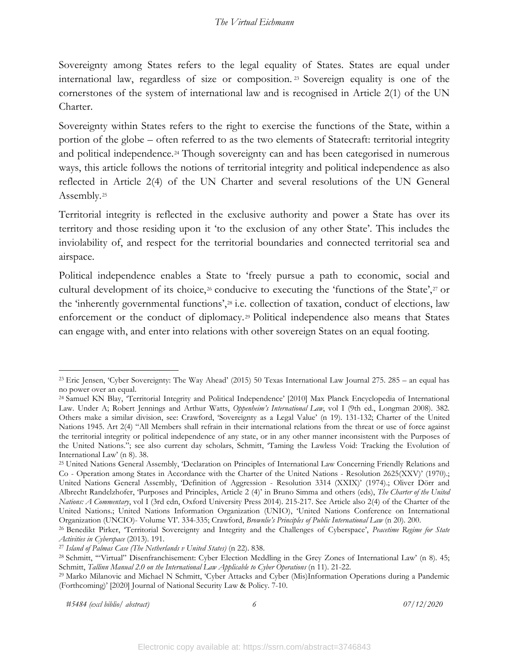Sovereignty among States refers to the legal equality of States. States are equal under international law, regardless of size or composition. [23](#page-7-0) Sovereign equality is one of the cornerstones of the system of international law and is recognised in Article 2(1) of the UN Charter.

Sovereignty within States refers to the right to exercise the functions of the State, within a portion of the globe – often referred to as the two elements of Statecraft: territorial integrity and political independence.<sup>[24](#page-7-1)</sup> Though sovereignty can and has been categorised in numerous ways, this article follows the notions of territorial integrity and political independence as also reflected in Article 2(4) of the UN Charter and several resolutions of the UN General Assembly.[25](#page-7-2)

Territorial integrity is reflected in the exclusive authority and power a State has over its territory and those residing upon it 'to the exclusion of any other State'. This includes the inviolability of, and respect for the territorial boundaries and connected territorial sea and airspace.

Political independence enables a State to 'freely pursue a path to economic, social and cultural development of its choice,<sup>[26](#page-7-3)</sup> conducive to executing the 'functions of the State',<sup>[27](#page-7-4)</sup> or the 'inherently governmental functions',[28](#page-7-5) i.e. collection of taxation, conduct of elections, law enforcement or the conduct of diplomacy.<sup>[29](#page-7-6)</sup> Political independence also means that States can engage with, and enter into relations with other sovereign States on an equal footing.

*#5484 (excl biblio/ abstract) 6 07/12/2020*

<span id="page-7-0"></span><sup>23</sup> Eric Jensen, 'Cyber Sovereignty: The Way Ahead' (2015) 50 Texas International Law Journal 275. 285 – an equal has no power over an equal.

<span id="page-7-1"></span><sup>24</sup> Samuel KN Blay, 'Territorial Integrity and Political Independence' [2010] Max Planck Encyclopedia of International Law. Under A; Robert Jennings and Arthur Watts, *Oppenheim's International Law*, vol I (9th ed., Longman 2008). 382. Others make a similar division, see: Crawford, 'Sovereignty as a Legal Value' (n 19). 131-132; Charter of the United Nations 1945. Art 2(4) "All Members shall refrain in their international relations from the threat or use of force against the territorial integrity or political independence of any state, or in any other manner inconsistent with the Purposes of the United Nations."; see also current day scholars, Schmitt, 'Taming the Lawless Void: Tracking the Evolution of International Law' (n 8). 38.<br><sup>25</sup> United Nations General Assembly, 'Declaration on Principles of International Law Concerning Friendly Relations and

<span id="page-7-2"></span>Co - Operation among States in Accordance with the Charter of the United Nations - Resolution 2625(XXV)' (1970).; United Nations General Assembly, 'Definition of Aggression - Resolution 3314 (XXIX)' (1974).; Oliver Dörr and Albrecht Randelzhofer, 'Purposes and Principles, Article 2 (4)' in Bruno Simma and others (eds), *The Charter of the United Nations: A Commentary*, vol I (3rd edn, Oxford University Press 2014). 215-217. See Article also 2(4) of the Charter of the United Nations.; United Nations Information Organization (UNIO), 'United Nations Conference on International Organization (UNCIO)- Volume VI'. 334-335; Crawford, *Brownlie's Principles of Public International Law* (n 20). 200.

<span id="page-7-3"></span><sup>26</sup> Benedikt Pirker, 'Territorial Sovereignty and Integrity and the Challenges of Cyberspace', *Peacetime Regime for State* 

<span id="page-7-5"></span><span id="page-7-4"></span>

Activities in Cyberspace (2013). 191.<br><sup>27</sup> Island of Palmas Case (The Netherlands v United States) (n 22). 838.<br><sup>28</sup> Schmitt, "Virtual" Disenfranchisement: Cyber Election Meddling in the Grey Zones of International Law' (n

<span id="page-7-6"></span><sup>&</sup>lt;sup>29</sup> Marko Milanovic and Michael N Schmitt, 'Cyber Attacks and Cyber (Mis)Information Operations during a Pandemic (Forthcoming)' [2020] Journal of National Security Law & Policy. 7-10.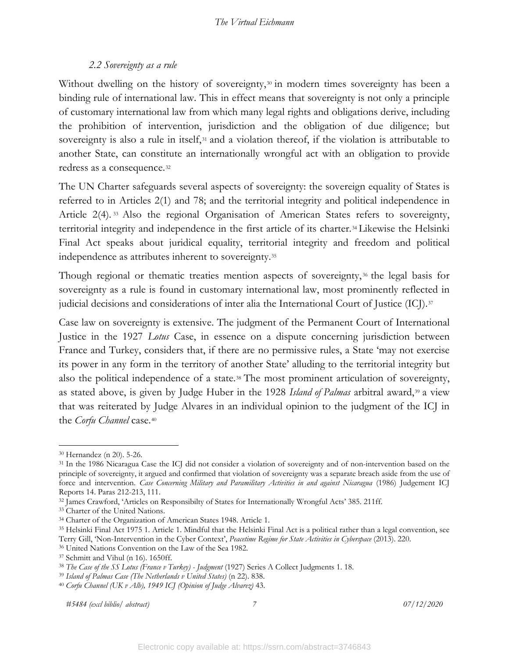### *2.2 Sovereignty as a rule*

<span id="page-8-0"></span>Without dwelling on the history of sovereignty,<sup>[30](#page-8-1)</sup> in modern times sovereignty has been a binding rule of international law. This in effect means that sovereignty is not only a principle of customary international law from which many legal rights and obligations derive, including the prohibition of intervention, jurisdiction and the obligation of due diligence; but sovereignty is also a rule in itself,<sup>[31](#page-8-2)</sup> and a violation thereof, if the violation is attributable to another State, can constitute an internationally wrongful act with an obligation to provide redress as a consequence.[32](#page-8-3)

The UN Charter safeguards several aspects of sovereignty: the sovereign equality of States is referred to in Articles 2(1) and 78; and the territorial integrity and political independence in Article 2(4). [33](#page-8-4) Also the regional Organisation of American States refers to sovereignty, territorial integrity and independence in the first article of its charter.[34](#page-8-5) Likewise the Helsinki Final Act speaks about juridical equality, territorial integrity and freedom and political independence as attributes inherent to sovereignty.[35](#page-8-6)

Though regional or thematic treaties mention aspects of sovereignty,<sup>[36](#page-8-7)</sup> the legal basis for sovereignty as a rule is found in customary international law, most prominently reflected in judicial decisions and considerations of inter alia the International Court of Justice (ICJ).<sup>[37](#page-8-8)</sup>

Case law on sovereignty is extensive. The judgment of the Permanent Court of International Justice in the 1927 *Lotus* Case, in essence on a dispute concerning jurisdiction between France and Turkey, considers that, if there are no permissive rules, a State 'may not exercise its power in any form in the territory of another State' alluding to the territorial integrity but also the political independence of a state.<sup>[38](#page-8-9)</sup> The most prominent articulation of sovereignty, as stated above, is given by Judge Huber in the 1928 Island of Palmas arbitral award,<sup>[39](#page-8-10)</sup> a view that was reiterated by Judge Alvares in an individual opinion to the judgment of the ICJ in the *Corfu Channel* case.[40](#page-8-11)

*#5484 (excl biblio/ abstract) 7 07/12/2020*

<span id="page-8-1"></span><sup>30</sup> Hernandez (n 20). 5-26.

<span id="page-8-2"></span><sup>31</sup> In the 1986 Nicaragua Case the ICJ did not consider a violation of sovereignty and of non-intervention based on the principle of sovereignty, it argued and confirmed that violation of sovereignty was a separate breach aside from the use of force and intervention. *Case Concerning Military and Paramilitary Activities in and against Nicaragua* (1986) Judgement ICJ

<span id="page-8-3"></span>Reports 14. Paras 212-213, 111.<br><sup>32</sup> James Crawford, 'Articles on Responsibilty of States for Internationally Wrongful Acts' 385. 211ff.<br><sup>33</sup> Charter of the United Nations.

<span id="page-8-5"></span><span id="page-8-4"></span><sup>34</sup> Charter of the Organization of American States 1948. Article 1.

<span id="page-8-6"></span><sup>35</sup> Helsinki Final Act 1975 1. Article 1. Mindful that the Helsinki Final Act is a political rather than a legal convention, see Terry Gill, 'Non-Intervention in the Cyber Context', *Peacetime Regime for State Activities in Cyberspace* (2013). 220.

<span id="page-8-7"></span><sup>36</sup> United Nations Convention on the Law of the Sea 1982.

<span id="page-8-9"></span><span id="page-8-8"></span><sup>&</sup>lt;sup>37</sup> Schmitt and Vihul (n 16). 1650ff.<br><sup>38</sup> The Case of the SS Lotus (France v Turkey) - Judgment (1927) Series A Collect Judgments 1. 18.<br><sup>39</sup> Island of Palmas Case (The Netherlands v United States) (n 22). 838.<br><sup>40</sup> Corf

<span id="page-8-10"></span>

<span id="page-8-11"></span>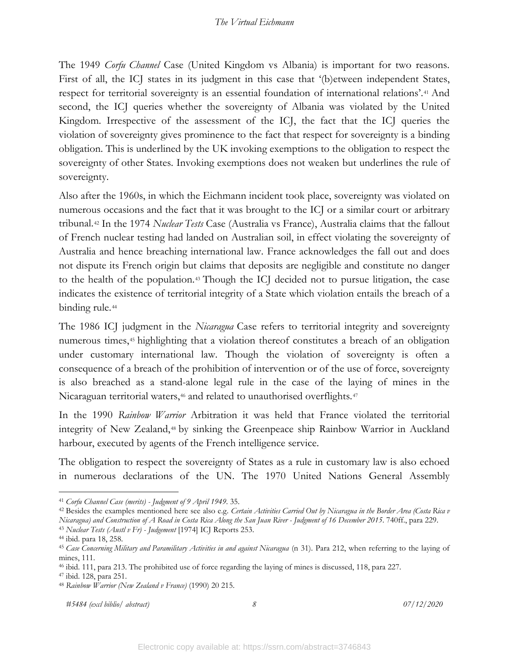The 1949 *Corfu Channel* Case (United Kingdom vs Albania) is important for two reasons. First of all, the ICJ states in its judgment in this case that '(b) etween independent States, respect for territorial sovereignty is an essential foundation of international relations'.[41](#page-9-0) And second, the ICJ queries whether the sovereignty of Albania was violated by the United Kingdom. Irrespective of the assessment of the ICJ, the fact that the ICJ queries the violation of sovereignty gives prominence to the fact that respect for sovereignty is a binding obligation. This is underlined by the UK invoking exemptions to the obligation to respect the sovereignty of other States. Invoking exemptions does not weaken but underlines the rule of sovereignty.

Also after the 1960s, in which the Eichmann incident took place, sovereignty was violated on numerous occasions and the fact that it was brought to the ICJ or a similar court or arbitrary tribunal.[42](#page-9-1) In the 1974 *Nuclear Tests* Case (Australia vs France), Australia claims that the fallout of French nuclear testing had landed on Australian soil, in effect violating the sovereignty of Australia and hence breaching international law. France acknowledges the fall out and does not dispute its French origin but claims that deposits are negligible and constitute no danger to the health of the population.[43](#page-9-2) Though the ICJ decided not to pursue litigation, the case indicates the existence of territorial integrity of a State which violation entails the breach of a binding rule.<sup>[44](#page-9-3)</sup>

The 1986 ICJ judgment in the *Nicaragua* Case refers to territorial integrity and sovereignty numerous times,<sup>[45](#page-9-4)</sup> highlighting that a violation thereof constitutes a breach of an obligation under customary international law. Though the violation of sovereignty is often a consequence of a breach of the prohibition of intervention or of the use of force, sovereignty is also breached as a stand-alone legal rule in the case of the laying of mines in the Nicaraguan territorial waters,<sup>[46](#page-9-5)</sup> and related to unauthorised overflights.<sup>47</sup>

In the 1990 *Rainbow Warrior* Arbitration it was held that France violated the territorial integrity of New Zealand,[48](#page-9-7) by sinking the Greenpeace ship Rainbow Warrior in Auckland harbour, executed by agents of the French intelligence service.

The obligation to respect the sovereignty of States as a rule in customary law is also echoed in numerous declarations of the UN. The 1970 United Nations General Assembly

<span id="page-9-0"></span><sup>41</sup> *Corfu Channel Case (merits) - Judgment of 9 April 1949*. 35.

<span id="page-9-1"></span><sup>42</sup> Besides the examples mentioned here see also e.g. *Certain Activities Carried Out by Nicaragua in the Border Area (Costa Rica v Nicaragua) and Construction of A Road in Costa Rica Along the San Juan River - Judgment of 16 December 2015*. 740ff., para 229. 43 *Nuclear Tests (Austl v Fr) - Judgement* [1974] ICJ Reports 253.

<span id="page-9-4"></span><span id="page-9-3"></span><span id="page-9-2"></span><sup>&</sup>lt;sup>44</sup> ibid. para 18, 258.<br><sup>45</sup> *Case Concerning Military and Paramilitary Activities in and against Nicaragua* (n 31). Para 212, when referring to the laying of mines, 111.

<span id="page-9-5"></span><sup>46</sup> ibid. 111, para 213. The prohibited use of force regarding the laying of mines is discussed, 118, para 227. 47 ibid. 128, para 251. 48 *Rainbow Warrior (New Zealand v France)* (1990) 20 215.

<span id="page-9-7"></span><span id="page-9-6"></span>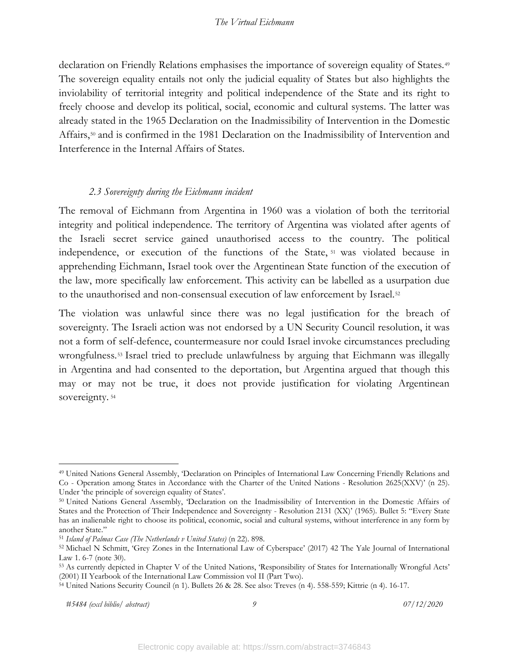declaration on Friendly Relations emphasises the importance of sovereign equality of States.<sup>[49](#page-10-1)</sup> The sovereign equality entails not only the judicial equality of States but also highlights the inviolability of territorial integrity and political independence of the State and its right to freely choose and develop its political, social, economic and cultural systems. The latter was already stated in the 1965 Declaration on the Inadmissibility of Intervention in the Domestic Affairs,<sup>[50](#page-10-2)</sup> and is confirmed in the 1981 Declaration on the Inadmissibility of Intervention and Interference in the Internal Affairs of States.

### *2.3 Sovereignty during the Eichmann incident*

<span id="page-10-0"></span>The removal of Eichmann from Argentina in 1960 was a violation of both the territorial integrity and political independence. The territory of Argentina was violated after agents of the Israeli secret service gained unauthorised access to the country. The political independence, or execution of the functions of the State, [51](#page-10-3) was violated because in apprehending Eichmann, Israel took over the Argentinean State function of the execution of the law, more specifically law enforcement. This activity can be labelled as a usurpation due to the unauthorised and non-consensual execution of law enforcement by Israel.<sup>[52](#page-10-4)</sup>

The violation was unlawful since there was no legal justification for the breach of sovereignty. The Israeli action was not endorsed by a UN Security Council resolution, it was not a form of self-defence, countermeasure nor could Israel invoke circumstances precluding wrongfulness.[53](#page-10-5) Israel tried to preclude unlawfulness by arguing that Eichmann was illegally in Argentina and had consented to the deportation, but Argentina argued that though this may or may not be true, it does not provide justification for violating Argentinean sovereignty.<sup>[54](#page-10-6)</sup>

<span id="page-10-1"></span><sup>49</sup> United Nations General Assembly, 'Declaration on Principles of International Law Concerning Friendly Relations and Co Operation among States in Accordance with the Charter of the United Nations - Resolution 2625(XXV)' (n 25). Under 'the principle of sovereign equality of States'.<br><sup>50</sup> United Nations General Assembly, 'Declaration on the Inadmissibility of Intervention in the Domestic Affairs of

<span id="page-10-2"></span>States and the Protection of Their Independence and Sovereignty - Resolution 2131 (XX)' (1965). Bullet 5: "Every State has an inalienable right to choose its political, economic, social and cultural systems, without interference in any form by another State."

<span id="page-10-4"></span><span id="page-10-3"></span><sup>&</sup>lt;sup>51</sup> *Island of Palmas Case (The Netherlands v United States)* (n 22). 898.<br><sup>52</sup> Michael N Schmitt, 'Grey Zones in the International Law of Cyberspace' (2017) 42 The Yale Journal of International Law 1. 6-7 (note 30).<br><sup>53</sup> As currently depicted in Chapter V of the United Nations, 'Responsibility of States for Internationally Wrongful Acts'

<span id="page-10-5"></span><sup>(2001)</sup> II Yearbook of the International Law Commission vol II (Part Two).

<span id="page-10-6"></span><sup>54</sup> United Nations Security Council (n 1). Bullets 26 & 28. See also: Treves (n 4). 558-559; Kittrie (n 4). 16-17.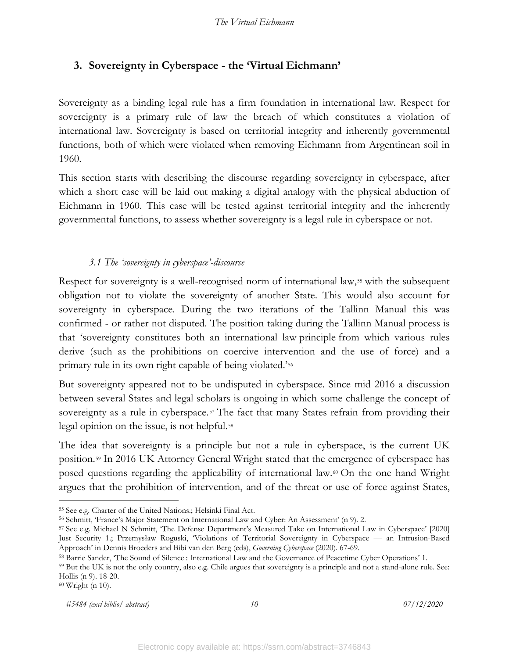# <span id="page-11-0"></span>**3. Sovereignty in Cyberspace - the 'Virtual Eichmann'**

Sovereignty as a binding legal rule has a firm foundation in international law. Respect for sovereignty is a primary rule of law the breach of which constitutes a violation of international law. Sovereignty is based on territorial integrity and inherently governmental functions, both of which were violated when removing Eichmann from Argentinean soil in 1960.

This section starts with describing the discourse regarding sovereignty in cyberspace, after which a short case will be laid out making a digital analogy with the physical abduction of Eichmann in 1960. This case will be tested against territorial integrity and the inherently governmental functions, to assess whether sovereignty is a legal rule in cyberspace or not.

### *3.1 The 'sovereignty in cyberspace'-discourse*

<span id="page-11-1"></span>Respect for sovereignty is a well-recognised norm of international law,<sup>[55](#page-11-2)</sup> with the subsequent obligation not to violate the sovereignty of another State. This would also account for sovereignty in cyberspace. During the two iterations of the Tallinn Manual this was confirmed - or rather not disputed. The position taking during the Tallinn Manual process is that 'sovereignty constitutes both an international law principle from which various rules derive (such as the prohibitions on coercive intervention and the use of force) and a primary rule in its own right capable of being violated.'[56](#page-11-3)

But sovereignty appeared not to be undisputed in cyberspace. Since mid 2016 a discussion between several States and legal scholars is ongoing in which some challenge the concept of sovereignty as a rule in cyberspace.<sup>[57](#page-11-4)</sup> The fact that many States refrain from providing their legal opinion on the issue, is not helpful.[58](#page-11-5)

The idea that sovereignty is a principle but not a rule in cyberspace, is the current UK position.[59](#page-11-6) In 2016 UK Attorney General Wright stated that the emergence of cyberspace has posed questions regarding the applicability of international law.[60](#page-11-7) On the one hand Wright argues that the prohibition of intervention, and of the threat or use of force against States,

*#5484 (excl biblio/ abstract) 10 07/12/2020*

<span id="page-11-2"></span><sup>55</sup> See e.g. Charter of the United Nations.; Helsinki Final Act.

<span id="page-11-3"></span><sup>56</sup> Schmitt, 'France's Major Statement on International Law and Cyber: An Assessment' (n 9). 2.

<span id="page-11-4"></span><sup>57</sup> See e.g. Michael N Schmitt, 'The Defense Department's Measured Take on International Law in Cyberspace' [2020] Just Security 1.; Przemysław Roguski, 'Violations of Territorial Sovereignty in Cyberspace — an Intrusion-Based Approach' in Dennis Broeders and Bibi van den Berg (eds), *Governing Cyberspace* (2020). 67-69. 58 Barrie Sander, 'The Sound of Silence : International Law and the Governance of Peacetime Cyber Operations' 1.

<span id="page-11-6"></span><span id="page-11-5"></span><sup>&</sup>lt;sup>59</sup> But the UK is not the only country, also e.g. Chile argues that sovereignty is a principle and not a stand-alone rule. See: Hollis (n 9). 18-20. 60 Wright (n 10).

<span id="page-11-7"></span>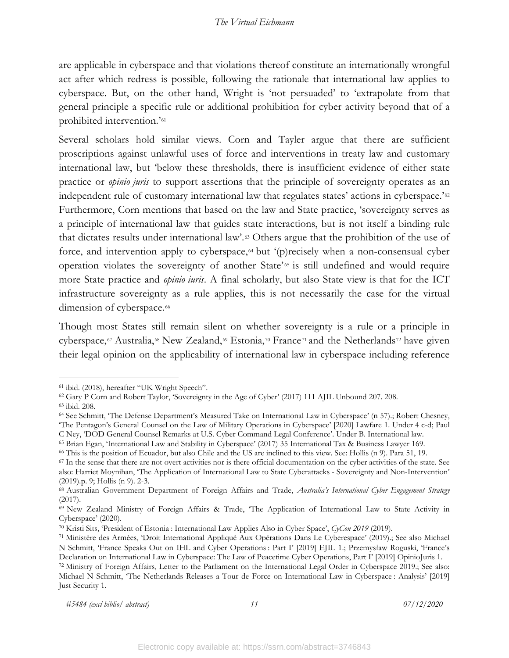are applicable in cyberspace and that violations thereof constitute an internationally wrongful act after which redress is possible, following the rationale that international law applies to cyberspace. But, on the other hand, Wright is 'not persuaded' to 'extrapolate from that general principle a specific rule or additional prohibition for cyber activity beyond that of a prohibited intervention.'[61](#page-12-0)

Several scholars hold similar views. Corn and Tayler argue that there are sufficient proscriptions against unlawful uses of force and interventions in treaty law and customary international law, but 'below these thresholds, there is insufficient evidence of either state practice or *opinio juris* to support assertions that the principle of sovereignty operates as an independent rule of customary international law that regulates states' actions in cyberspace.'<sup>[62](#page-12-1)</sup> Furthermore, Corn mentions that based on the law and State practice, 'sovereignty serves as a principle of international law that guides state interactions, but is not itself a binding rule that dictates results under international law'.[63](#page-12-2) Others argue that the prohibition of the use of force, and intervention apply to cyberspace, $64$  but  $(p)$  recisely when a non-consensual cyber operation violates the sovereignty of another State'<sup>[65](#page-12-4)</sup> is still undefined and would require more State practice and *opinio iuris*. A final scholarly, but also State view is that for the ICT infrastructure sovereignty as a rule applies, this is not necessarily the case for the virtual dimension of cyberspace.<sup>[66](#page-12-5)</sup>

Though most States still remain silent on whether sovereignty is a rule or a principle in cyberspace,<sup>[67](#page-12-6)</sup> Australia,<sup>[68](#page-12-7)</sup> New Zealand,<sup>[69](#page-12-8)</sup> Estonia,<sup>[70](#page-12-9)</sup> France<sup>[71](#page-12-10)</sup> and the Netherlands<sup>[72](#page-12-11)</sup> have given their legal opinion on the applicability of international law in cyberspace including reference

<span id="page-12-1"></span><span id="page-12-0"></span><sup>&</sup>lt;sup>61</sup> ibid. (2018), hereafter "UK Wright Speech".<br><sup>62</sup> Gary P Corn and Robert Taylor, 'Sovereignty in the Age of Cyber' (2017) 111 AJIL Unbound 207. 208.

<span id="page-12-3"></span><span id="page-12-2"></span><sup>&</sup>lt;sup>63</sup> ibid. 208.<br><sup>64</sup> See Schmitt, 'The Defense Department's Measured Take on International Law in Cyberspace' (n 57).; Robert Chesney, 'The Pentagon's General Counsel on the Law of Military Operations in Cyberspace' [2020] Lawfare 1. Under 4 c-d; Paul C Ney, 'DOD General Counsel Remarks at U.S. Cyber Command Legal Conference'. Under B. International law.

<span id="page-12-4"></span><sup>65</sup> Brian Egan, 'International Law and Stability in Cyberspace' (2017) 35 International Tax & Business Lawyer 169.

<span id="page-12-6"></span><span id="page-12-5"></span> $^{66}$  This is the position of Ecuador, but also Chile and the US are inclined to this view. See: Hollis (n 9). Para 51, 19.<br> $^{67}$  In the sense that there are not overt activities nor is there official documentation on t also: Harriet Moynihan, 'The Application of International Law to State Cyberattacks - Sovereignty and Non-Intervention'

<span id="page-12-7"></span><sup>(2019).</sup>p. 9; Hollis (n 9). 2-3.<br><sup>68</sup> Australian Government Department of Foreign Affairs and Trade, *Australia's International Cyber Engagement Strategy* (2017).

<span id="page-12-8"></span><sup>69</sup> New Zealand Ministry of Foreign Affairs & Trade, 'The Application of International Law to State Activity in Cyberspace' (2020).

<span id="page-12-9"></span><sup>70</sup> Kristi Sits, 'President of Estonia : International Law Applies Also in Cyber Space', *CyCon 2019* (2019).

<span id="page-12-10"></span><sup>71</sup> Ministère des Armées, 'Droit International Appliqué Aux Opérations Dans Le Cyberespace' (2019).; See also Michael N Schmitt, 'France Speaks Out on IHL and Cyber Operations : Part I' [2019] EJIL 1.; Przemysław Roguski, 'France's Declaration on International Law in Cyberspace: The Law of Peacetime Cyber Operations, Part I' [2019] OpinioJuris 1.

<span id="page-12-11"></span><sup>72</sup> Ministry of Foreign Affairs, Letter to the Parliament on the International Legal Order in Cyberspace 2019.; See also: Michael N Schmitt, 'The Netherlands Releases a Tour de Force on International Law in Cyberspace : Analysis' [2019] Just Security 1.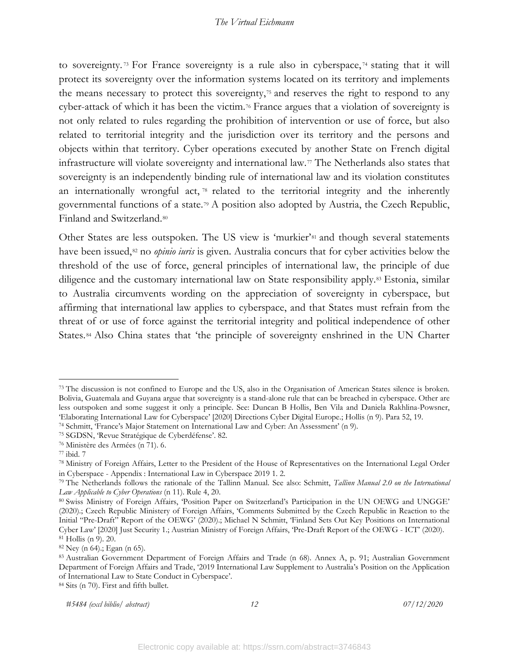to sovereignty. [73](#page-13-0) For France sovereignty is a rule also in cyberspace, [74](#page-13-1) stating that it will protect its sovereignty over the information systems located on its territory and implements the means necessary to protect this sovereignty,[75](#page-13-2) and reserves the right to respond to any cyber-attack of which it has been the victim.[76](#page-13-3) France argues that a violation of sovereignty is not only related to rules regarding the prohibition of intervention or use of force, but also related to territorial integrity and the jurisdiction over its territory and the persons and objects within that territory. Cyber operations executed by another State on French digital infrastructure will violate sovereignty and international law.[77](#page-13-4) The Netherlands also states that sovereignty is an independently binding rule of international law and its violation constitutes an internationally wrongful act, [78](#page-13-5) related to the territorial integrity and the inherently governmental functions of a state.[79](#page-13-6) A position also adopted by Austria, the Czech Republic, Finland and Switzerland.[80](#page-13-7)

Other States are less outspoken. The US view is 'murkier'<sup>[81](#page-13-8)</sup> and though several statements have been issued,<sup>[82](#page-13-9)</sup> no *opinio iuris* is given. Australia concurs that for cyber activities below the threshold of the use of force, general principles of international law, the principle of due diligence and the customary international law on State responsibility apply.[83](#page-13-10) Estonia, similar to Australia circumvents wording on the appreciation of sovereignty in cyberspace, but affirming that international law applies to cyberspace, and that States must refrain from the threat of or use of force against the territorial integrity and political independence of other States. [84](#page-13-11) Also China states that 'the principle of sovereignty enshrined in the UN Charter

```
#5484 (excl biblio/ abstract) 12 07/12/2020
```
<span id="page-13-0"></span><sup>&</sup>lt;sup>73</sup> The discussion is not confined to Europe and the US, also in the Organisation of American States silence is broken. Bolivia, Guatemala and Guyana argue that sovereignty is a stand-alone rule that can be breached in cyberspace. Other are less outspoken and some suggest it only a principle. See: Duncan B Hollis, Ben Vila and Daniela Rakhlina-Powsner, 'Elaborating International Law for Cyberspace' [2020] Directions Cyber Digital Europe.; Hollis (n 9). Para 52, 19. 74 Schmitt, 'France's Major Statement on International Law and Cyber: An Assessment' (n 9).

<span id="page-13-1"></span>

<span id="page-13-3"></span><span id="page-13-2"></span><sup>75</sup> SGDSN, 'Revue Stratégique de Cyberdéfense'. 82. 76 Ministère des Armées (n 71). 6.

<span id="page-13-4"></span><sup>77</sup> ibid. 7

<span id="page-13-5"></span><sup>78</sup> Ministry of Foreign Affairs, Letter to the President of the House of Representatives on the International Legal Order in Cyberspace - Appendix : International Law in Cyberspace 2019 1. 2. 79 The Netherlands follows the rationale of the Tallinn Manual. See also: Schmitt, *Tallinn Manual 2.0 on the International* 

<span id="page-13-6"></span>*Law Applicable to Cyber Operations* (n 11). Rule 4, 20.

<span id="page-13-7"></span><sup>80</sup> Swiss Ministry of Foreign Affairs, 'Position Paper on Switzerland's Participation in the UN OEWG and UNGGE' (2020).; Czech Republic Ministery of Foreign Affairs, 'Comments Submitted by the Czech Republic in Reaction to the Initial "Pre-Draft" Report of the OEWG' (2020).; Michael N Schmitt, 'Finland Sets Out Key Positions on International Cyber Law' [2020] Just Security 1.; Austrian Ministry of Foreign Affairs, 'Pre-Draft Report of the OEWG - ICT' (2020).

<span id="page-13-8"></span><sup>&</sup>lt;sup>81</sup> Hollis (n 9). 20.<br><sup>82</sup> Ney (n 64).; Egan (n 65).

<span id="page-13-10"></span><span id="page-13-9"></span><sup>83</sup> Australian Government Department of Foreign Affairs and Trade (n 68). Annex A, p. 91; Australian Government Department of Foreign Affairs and Trade, '2019 International Law Supplement to Australia's Position on the Application of International Law to State Conduct in Cyberspace'.

<span id="page-13-11"></span><sup>84</sup> Sits (n 70). First and fifth bullet.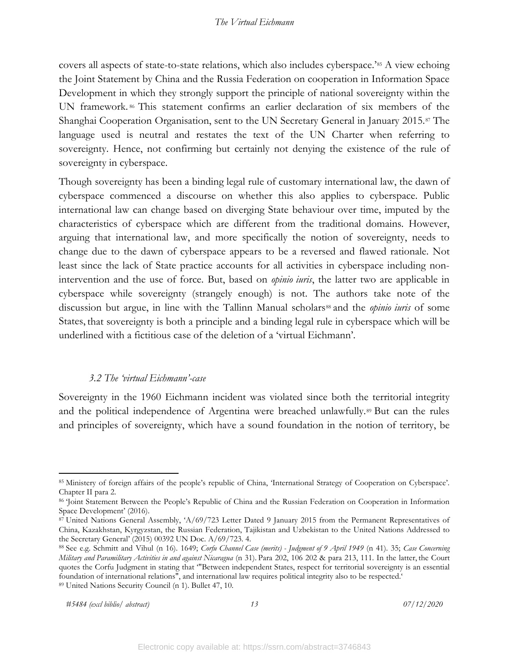covers all aspects of state-to-state relations, which also includes cyberspace.'[85](#page-14-1) A view echoing the Joint Statement by China and the Russia Federation on cooperation in Information Space Development in which they strongly support the principle of national sovereignty within the UN framework.<sup>[86](#page-14-2)</sup> This statement confirms an earlier declaration of six members of the Shanghai Cooperation Organisation, sent to the UN Secretary General in January 2015.[87](#page-14-3) The language used is neutral and restates the text of the UN Charter when referring to sovereignty. Hence, not confirming but certainly not denying the existence of the rule of sovereignty in cyberspace.

Though sovereignty has been a binding legal rule of customary international law, the dawn of cyberspace commenced a discourse on whether this also applies to cyberspace. Public international law can change based on diverging State behaviour over time, imputed by the characteristics of cyberspace which are different from the traditional domains. However, arguing that international law, and more specifically the notion of sovereignty, needs to change due to the dawn of cyberspace appears to be a reversed and flawed rationale. Not least since the lack of State practice accounts for all activities in cyberspace including nonintervention and the use of force. But, based on *opinio iuris*, the latter two are applicable in cyberspace while sovereignty (strangely enough) is not. The authors take note of the discussion but argue, in line with the Tallinn Manual scholars<sup>[88](#page-14-4)</sup> and the *opinio iuris* of some States, that sovereignty is both a principle and a binding legal rule in cyberspace which will be underlined with a fictitious case of the deletion of a 'virtual Eichmann'.

### *3.2 The 'virtual Eichmann'-case*

<span id="page-14-0"></span>Sovereignty in the 1960 Eichmann incident was violated since both the territorial integrity and the political independence of Argentina were breached unlawfully.<sup>[89](#page-14-5)</sup> But can the rules and principles of sovereignty, which have a sound foundation in the notion of territory, be

<span id="page-14-1"></span><sup>85</sup> Ministery of foreign affairs of the people's republic of China, 'International Strategy of Cooperation on Cyberspace'. Chapter II para 2.<br><sup>86</sup> 'Joint Statement Between the People's Republic of China and the Russian Federation on Cooperation in Information

<span id="page-14-2"></span>Space Development' (2016).

<span id="page-14-3"></span><sup>87</sup> United Nations General Assembly, 'A/69/723 Letter Dated 9 January 2015 from the Permanent Representatives of China, Kazakhstan, Kyrgyzstan, the Russian Federation, Tajikistan and Uzbekistan to the United Nations Addressed to

<span id="page-14-5"></span><span id="page-14-4"></span>the Secretary General' (2015) 00392 UN Doc. A/69/723. 4.<br><sup>88</sup> See e.g. Schmitt and Vihul (n 16). 1649; *Corfu Channel Case (merits) - Judgment of 9 April 1949* (n 41). 35; *Case Concerning Military and Paramilitary Activities in and against Nicaragua* (n 31). Para 202, 106 202 & para 213, 111. In the latter, the Court quotes the Corfu Judgment in stating that '"Between independent States, respect for territorial sovereignty is an essential foundation of international relations", and international law requires political integrity also to be respected.' 89 United Nations Security Council (n 1). Bullet 47, 10.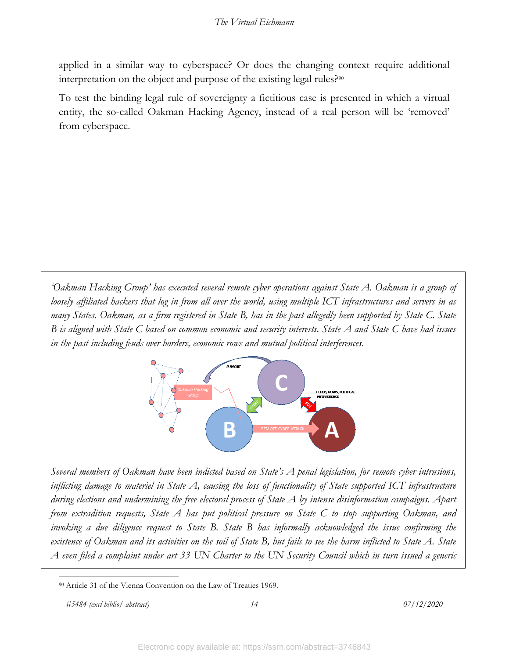applied in a similar way to cyberspace? Or does the changing context require additional interpretation on the object and purpose of the existing legal rules?<sup>[90](#page-15-0)</sup>

To test the binding legal rule of sovereignty a fictitious case is presented in which a virtual entity, the so-called Oakman Hacking Agency, instead of a real person will be 'removed' from cyberspace.

*'Oakman Hacking Group' has executed several remote cyber operations against State A. Oakman is a group of loosely affiliated hackers that log in from all over the world, using multiple ICT infrastructures and servers in as many States. Oakman, as a firm registered in State B, has in the past allegedly been supported by State C. State B is aligned with State C based on common economic and security interests. State A and State C have had issues in the past including feuds over borders, economic rows and mutual political interferences.* 



*Several members of Oakman have been indicted based on State's A penal legislation, for remote cyber intrusions, inflicting damage to materiel in State A, causing the loss of functionality of State supported ICT infrastructure during elections and undermining the free electoral process of State A by intense disinformation campaigns. Apart from extradition requests, State A has put political pressure on State C to stop supporting Oakman, and invoking a due diligence request to State B. State B has informally acknowledged the issue confirming the existence of Oakman and its activities on the soil of State B, but fails to see the harm inflicted to State A. State A even filed a complaint under art 33 UN Charter to the UN Security Council which in turn issued a generic* 

*#5484 (excl biblio/ abstract) 14 07/12/2020*

<span id="page-15-0"></span><sup>90</sup> Article 31 of the Vienna Convention on the Law of Treaties 1969.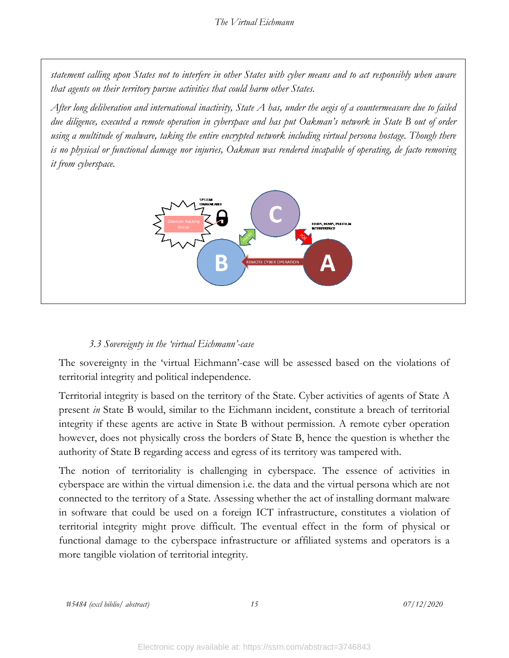*statement calling upon States not to interfere in other States with cyber means and to act responsibly when aware that agents on their territory pursue activities that could harm other States.*

*After long deliberation and international inactivity, State A has, under the aegis of a countermeasure due to failed due diligence, executed a remote operation in cyberspace and has put Oakman's network in State B out of order using a multitude of malware, taking the entire encrypted network including virtual persona hostage. Though there is no physical or functional damage nor injuries, Oakman was rendered incapable of operating, de facto removing it from cyberspace.* 



### *3.3 Sovereignty in the 'virtual Eichmann'-case*

<span id="page-16-0"></span>The sovereignty in the 'virtual Eichmann'-case will be assessed based on the violations of territorial integrity and political independence.

Territorial integrity is based on the territory of the State. Cyber activities of agents of State A present *in* State B would, similar to the Eichmann incident, constitute a breach of territorial integrity if these agents are active in State B without permission. A remote cyber operation however, does not physically cross the borders of State B, hence the question is whether the authority of State B regarding access and egress of its territory was tampered with.

The notion of territoriality is challenging in cyberspace. The essence of activities in cyberspace are within the virtual dimension i.e. the data and the virtual persona which are not connected to the territory of a State. Assessing whether the act of installing dormant malware in software that could be used on a foreign ICT infrastructure, constitutes a violation of territorial integrity might prove difficult. The eventual effect in the form of physical or functional damage to the cyberspace infrastructure or affiliated systems and operators is a more tangible violation of territorial integrity.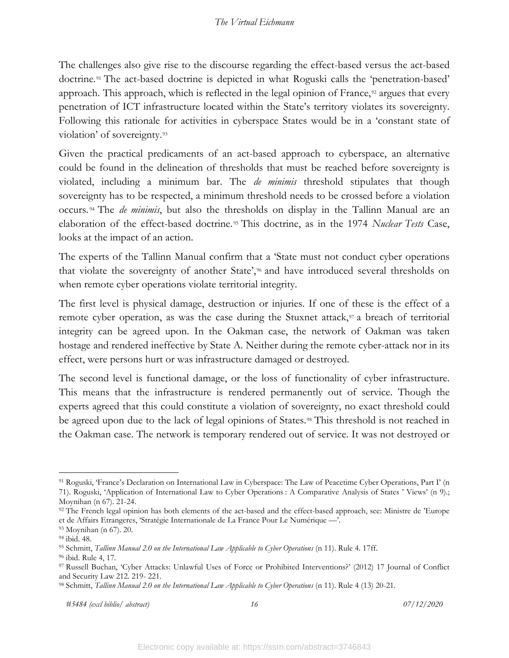The challenges also give rise to the discourse regarding the effect-based versus the act-based doctrine.<sup>[91](#page-17-0)</sup> The act-based doctrine is depicted in what Roguski calls the 'penetration-based' approach. This approach, which is reflected in the legal opinion of France,<sup>[92](#page-17-1)</sup> argues that every penetration of ICT infrastructure located within the State's territory violates its sovereignty. Following this rationale for activities in cyberspace States would be in a 'constant state of violation' of sovereignty.[93](#page-17-2)

Given the practical predicaments of an act-based approach to cyberspace, an alternative could be found in the delineation of thresholds that must be reached before sovereignty is violated, including a minimum bar. The *de minimis* threshold stipulates that though sovereignty has to be respected, a minimum threshold needs to be crossed before a violation occurs. [94](#page-17-3) The *de minimis*, but also the thresholds on display in the Tallinn Manual are an elaboration of the effect-based doctrine. [95](#page-17-4) This doctrine, as in the 1974 *Nuclear Tests* Case, looks at the impact of an action.

The experts of the Tallinn Manual confirm that a 'State must not conduct cyber operations that violate the sovereignty of another State',<sup>[96](#page-17-5)</sup> and have introduced several thresholds on when remote cyber operations violate territorial integrity.

The first level is physical damage, destruction or injuries. If one of these is the effect of a remote cyber operation, as was the case during the Stuxnet attack,<sup>[97](#page-17-6)</sup> a breach of territorial integrity can be agreed upon. In the Oakman case, the network of Oakman was taken hostage and rendered ineffective by State A. Neither during the remote cyber-attack nor in its effect, were persons hurt or was infrastructure damaged or destroyed.

The second level is functional damage, or the loss of functionality of cyber infrastructure. This means that the infrastructure is rendered permanently out of service. Though the experts agreed that this could constitute a violation of sovereignty, no exact threshold could be agreed upon due to the lack of legal opinions of States.<sup>[98](#page-17-7)</sup> This threshold is not reached in the Oakman case. The network is temporary rendered out of service. It was not destroyed or

<span id="page-17-0"></span><sup>91</sup> Roguski, 'France's Declaration on International Law in Cyberspace: The Law of Peacetime Cyber Operations, Part I' (n 71). Roguski, 'Application of International Law to Cyber Operations : A Comparative Analysis of States ' Views' (n 9).;

Moynihan (n 67). 21-24.

<span id="page-17-1"></span><sup>92</sup> The French legal opinion has both elements of the act-based and the effect-based approach, see: Ministre de 'Europe et de Affairs Etrangeres, 'Stratégie Internationale de La France Pour Le Numérique —'.

<span id="page-17-3"></span><span id="page-17-2"></span><sup>&</sup>lt;sup>93</sup> Moynihan (n 67). 20.<br><sup>94</sup> ibid. 48.<br><sup>95</sup> Schmitt, *Tallinn Manual 2.0 on the International Law Applicable to Cyber Operations* (n 11). Rule 4. 17ff.

<span id="page-17-6"></span><span id="page-17-5"></span><span id="page-17-4"></span><sup>&</sup>lt;sup>96</sup> ibid. Rule 4, 17.<br><sup>97</sup> Russell Buchan, 'Cyber Attacks: Unlawful Uses of Force or Prohibited Interventions?' (2012) 17 Journal of Conflict and Security Law 212. 219- 221. 98 Schmitt, *Tallinn Manual 2.0 on the International Law Applicable to Cyber Operations* (n 11). Rule 4 (13) 20-21.

<span id="page-17-7"></span>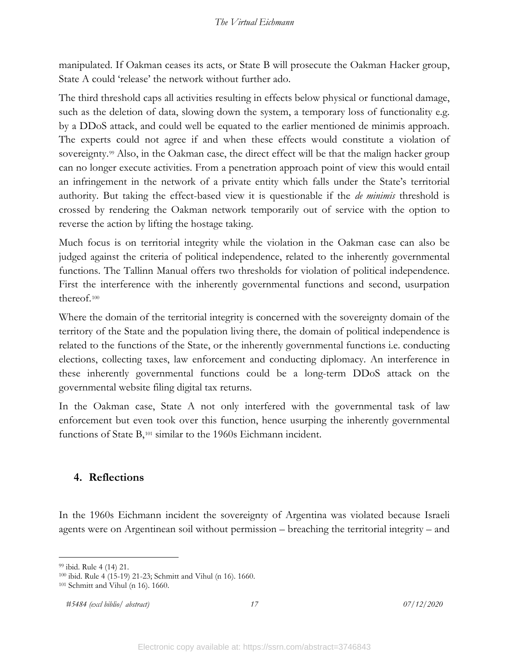manipulated. If Oakman ceases its acts, or State B will prosecute the Oakman Hacker group, State A could 'release' the network without further ado.

The third threshold caps all activities resulting in effects below physical or functional damage, such as the deletion of data, slowing down the system, a temporary loss of functionality e.g. by a DDoS attack, and could well be equated to the earlier mentioned de minimis approach. The experts could not agree if and when these effects would constitute a violation of sovereignty.<sup>[99](#page-18-1)</sup> Also, in the Oakman case, the direct effect will be that the malign hacker group can no longer execute activities. From a penetration approach point of view this would entail an infringement in the network of a private entity which falls under the State's territorial authority. But taking the effect-based view it is questionable if the *de minimis* threshold is crossed by rendering the Oakman network temporarily out of service with the option to reverse the action by lifting the hostage taking.

Much focus is on territorial integrity while the violation in the Oakman case can also be judged against the criteria of political independence, related to the inherently governmental functions. The Tallinn Manual offers two thresholds for violation of political independence. First the interference with the inherently governmental functions and second, usurpation thereof.[100](#page-18-2) 

Where the domain of the territorial integrity is concerned with the sovereignty domain of the territory of the State and the population living there, the domain of political independence is related to the functions of the State, or the inherently governmental functions i.e. conducting elections, collecting taxes, law enforcement and conducting diplomacy. An interference in these inherently governmental functions could be a long-term DDoS attack on the governmental website filing digital tax returns.

In the Oakman case, State A not only interfered with the governmental task of law enforcement but even took over this function, hence usurping the inherently governmental functions of State B,<sup>[101](#page-18-3)</sup> similar to the 1960s Eichmann incident.

# <span id="page-18-0"></span>**4. Reflections**

In the 1960s Eichmann incident the sovereignty of Argentina was violated because Israeli agents were on Argentinean soil without permission – breaching the territorial integrity – and

*#5484 (excl biblio/ abstract) 17 07/12/2020*

<span id="page-18-2"></span><span id="page-18-1"></span><sup>99</sup> ibid. Rule 4 (14) 21.<br>
100 ibid. Rule 4 (15-19) 21-23; Schmitt and Vihul (n 16). 1660.<br>
<sup>101</sup> Schmitt and Vihul (n 16). 1660.

<span id="page-18-3"></span>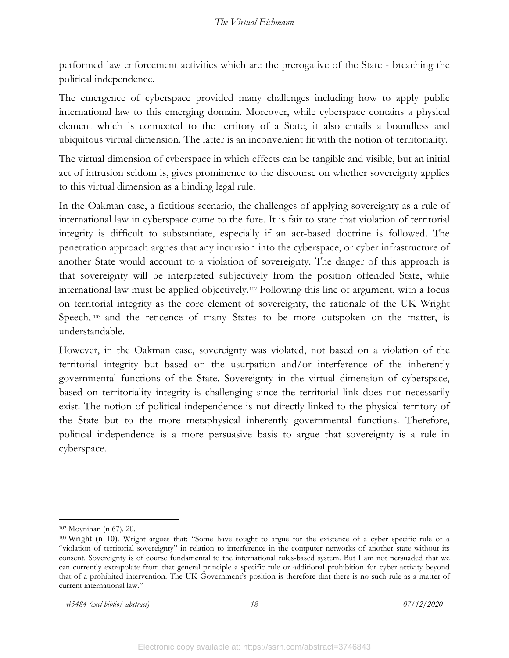performed law enforcement activities which are the prerogative of the State - breaching the political independence.

The emergence of cyberspace provided many challenges including how to apply public international law to this emerging domain. Moreover, while cyberspace contains a physical element which is connected to the territory of a State, it also entails a boundless and ubiquitous virtual dimension. The latter is an inconvenient fit with the notion of territoriality.

The virtual dimension of cyberspace in which effects can be tangible and visible, but an initial act of intrusion seldom is, gives prominence to the discourse on whether sovereignty applies to this virtual dimension as a binding legal rule.

In the Oakman case, a fictitious scenario, the challenges of applying sovereignty as a rule of international law in cyberspace come to the fore. It is fair to state that violation of territorial integrity is difficult to substantiate, especially if an act-based doctrine is followed. The penetration approach argues that any incursion into the cyberspace, or cyber infrastructure of another State would account to a violation of sovereignty. The danger of this approach is that sovereignty will be interpreted subjectively from the position offended State, while international law must be applied objectively.[102](#page-19-0) Following this line of argument, with a focus on territorial integrity as the core element of sovereignty, the rationale of the UK Wright Speech, [103](#page-19-1) and the reticence of many States to be more outspoken on the matter, is understandable.

However, in the Oakman case, sovereignty was violated, not based on a violation of the territorial integrity but based on the usurpation and/or interference of the inherently governmental functions of the State. Sovereignty in the virtual dimension of cyberspace, based on territoriality integrity is challenging since the territorial link does not necessarily exist. The notion of political independence is not directly linked to the physical territory of the State but to the more metaphysical inherently governmental functions. Therefore, political independence is a more persuasive basis to argue that sovereignty is a rule in cyberspace.

<span id="page-19-1"></span><span id="page-19-0"></span><sup>&</sup>lt;sup>102</sup> Moynihan (n 67). 20.<br><sup>103</sup> Wright (n 10). Wright argues that: "Some have sought to argue for the existence of a cyber specific rule of a "violation of territorial sovereignty" in relation to interference in the computer networks of another state without its consent. Sovereignty is of course fundamental to the international rules-based system. But I am not persuaded that we can currently extrapolate from that general principle a specific rule or additional prohibition for cyber activity beyond that of a prohibited intervention. The UK Government's position is therefore that there is no such rule as a matter of current international law."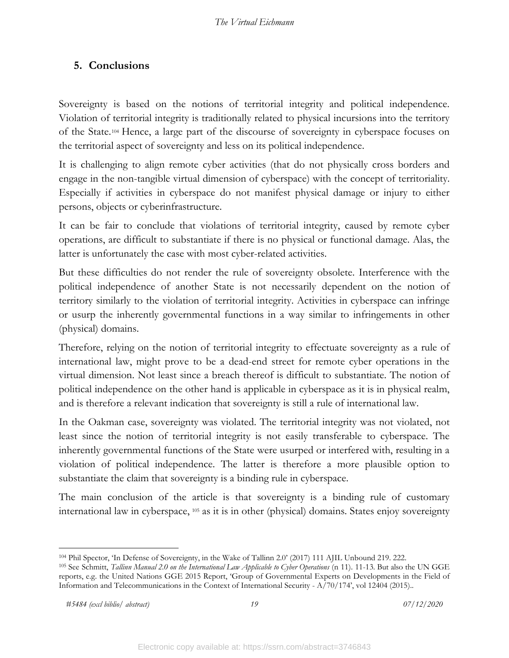# <span id="page-20-0"></span>**5. Conclusions**

Sovereignty is based on the notions of territorial integrity and political independence. Violation of territorial integrity is traditionally related to physical incursions into the territory of the State.[104](#page-20-1) Hence, a large part of the discourse of sovereignty in cyberspace focuses on the territorial aspect of sovereignty and less on its political independence.

It is challenging to align remote cyber activities (that do not physically cross borders and engage in the non-tangible virtual dimension of cyberspace) with the concept of territoriality. Especially if activities in cyberspace do not manifest physical damage or injury to either persons, objects or cyberinfrastructure.

It can be fair to conclude that violations of territorial integrity, caused by remote cyber operations, are difficult to substantiate if there is no physical or functional damage. Alas, the latter is unfortunately the case with most cyber-related activities.

But these difficulties do not render the rule of sovereignty obsolete. Interference with the political independence of another State is not necessarily dependent on the notion of territory similarly to the violation of territorial integrity. Activities in cyberspace can infringe or usurp the inherently governmental functions in a way similar to infringements in other (physical) domains.

Therefore, relying on the notion of territorial integrity to effectuate sovereignty as a rule of international law, might prove to be a dead-end street for remote cyber operations in the virtual dimension. Not least since a breach thereof is difficult to substantiate. The notion of political independence on the other hand is applicable in cyberspace as it is in physical realm, and is therefore a relevant indication that sovereignty is still a rule of international law.

In the Oakman case, sovereignty was violated. The territorial integrity was not violated, not least since the notion of territorial integrity is not easily transferable to cyberspace. The inherently governmental functions of the State were usurped or interfered with, resulting in a violation of political independence. The latter is therefore a more plausible option to substantiate the claim that sovereignty is a binding rule in cyberspace.

The main conclusion of the article is that sovereignty is a binding rule of customary international law in cyberspace, [105](#page-20-2) as it is in other (physical) domains. States enjoy sovereignty

<span id="page-20-1"></span><sup>104</sup> Phil Spector, 'In Defense of Sovereignty, in the Wake of Tallinn 2.0' (2017) 111 AJIL Unbound 219. 222.

<span id="page-20-2"></span><sup>105</sup> See Schmitt, *Tallinn Manual 2.0 on the International Law Applicable to Cyber Operations* (n 11). 11-13. But also the UN GGE reports, e.g. the United Nations GGE 2015 Report, 'Group of Governmental Experts on Developments in the Field of Information and Telecommunications in the Context of International Security - A/70/174', vol 12404 (2015)..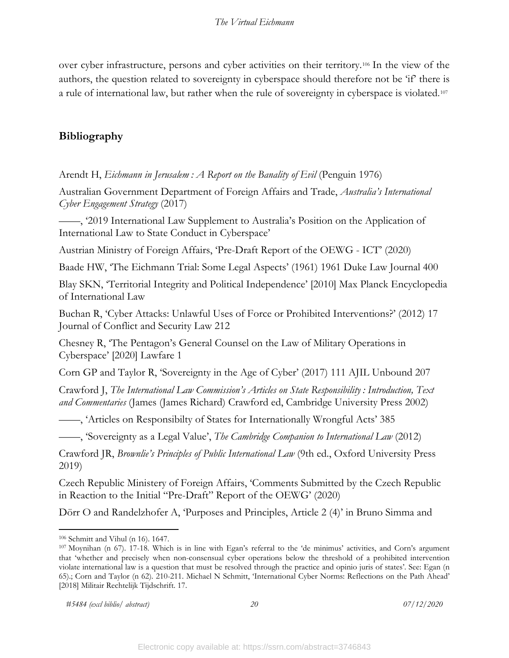over cyber infrastructure, persons and cyber activities on their territory.[106](#page-21-1) In the view of the authors, the question related to sovereignty in cyberspace should therefore not be 'if' there is a rule of international law, but rather when the rule of sovereignty in cyberspace is violated.[107](#page-21-2)

# <span id="page-21-0"></span>**Bibliography**

Arendt H, *Eichmann in Jerusalem : A Report on the Banality of Evil* (Penguin 1976)

Australian Government Department of Foreign Affairs and Trade, *Australia's International Cyber Engagement Strategy* (2017)

——, '2019 International Law Supplement to Australia's Position on the Application of International Law to State Conduct in Cyberspace'

Austrian Ministry of Foreign Affairs, 'Pre-Draft Report of the OEWG - ICT' (2020)

Baade HW, 'The Eichmann Trial: Some Legal Aspects' (1961) 1961 Duke Law Journal 400

Blay SKN, 'Territorial Integrity and Political Independence' [2010] Max Planck Encyclopedia of International Law

Buchan R, 'Cyber Attacks: Unlawful Uses of Force or Prohibited Interventions?' (2012) 17 Journal of Conflict and Security Law 212

Chesney R, 'The Pentagon's General Counsel on the Law of Military Operations in Cyberspace' [2020] Lawfare 1

Corn GP and Taylor R, 'Sovereignty in the Age of Cyber' (2017) 111 AJIL Unbound 207

Crawford J, *The International Law Commission's Articles on State Responsibility : Introduction, Text and Commentaries* (James (James Richard) Crawford ed, Cambridge University Press 2002)

——, 'Articles on Responsibilty of States for Internationally Wrongful Acts' 385

——, 'Sovereignty as a Legal Value', *The Cambridge Companion to International Law* (2012)

Crawford JR, *Brownlie's Principles of Public International Law* (9th ed., Oxford University Press 2019)

Czech Republic Ministery of Foreign Affairs, 'Comments Submitted by the Czech Republic in Reaction to the Initial "Pre-Draft" Report of the OEWG' (2020)

Dörr O and Randelzhofer A, 'Purposes and Principles, Article 2 (4)' in Bruno Simma and

<span id="page-21-2"></span><span id="page-21-1"></span> $106$  Schmitt and Vihul (n 16). 1647.<br><sup>107</sup> Moynihan (n 67). 17-18. Which is in line with Egan's referral to the 'de minimus' activities, and Corn's argument that 'whether and precisely when non-consensual cyber operations below the threshold of a prohibited intervention violate international law is a question that must be resolved through the practice and opinio juris of states'. See: Egan (n 65).; Corn and Taylor (n 62). 210-211. Michael N Schmitt, 'International Cyber Norms: Reflections on the Path Ahead' [2018] Militair Rechtelijk Tijdschrift. 17.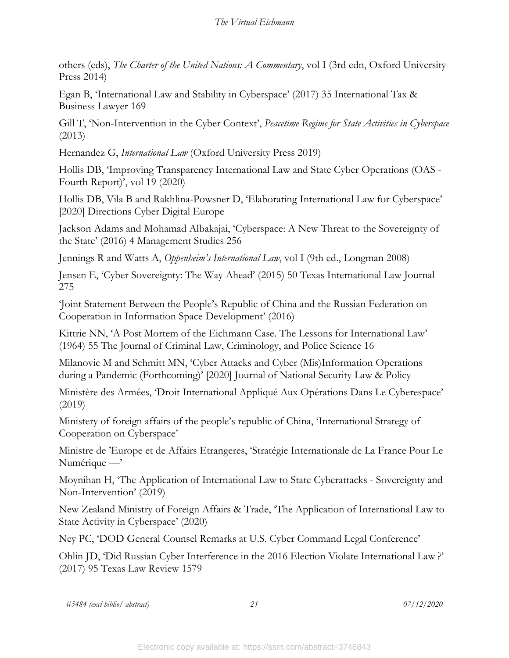others (eds), *The Charter of the United Nations: A Commentary*, vol I (3rd edn, Oxford University Press 2014)

Egan B, 'International Law and Stability in Cyberspace' (2017) 35 International Tax & Business Lawyer 169

Gill T, 'Non-Intervention in the Cyber Context', *Peacetime Regime for State Activities in Cyberspace* (2013)

Hernandez G, *International Law* (Oxford University Press 2019)

Hollis DB, 'Improving Transparency International Law and State Cyber Operations (OAS - Fourth Report)', vol 19 (2020)

Hollis DB, Vila B and Rakhlina-Powsner D, 'Elaborating International Law for Cyberspace' [2020] Directions Cyber Digital Europe

Jackson Adams and Mohamad Albakajai, 'Cyberspace: A New Threat to the Sovereignty of the State' (2016) 4 Management Studies 256

Jennings R and Watts A, *Oppenheim's International Law*, vol I (9th ed., Longman 2008)

Jensen E, 'Cyber Sovereignty: The Way Ahead' (2015) 50 Texas International Law Journal 275

'Joint Statement Between the People's Republic of China and the Russian Federation on Cooperation in Information Space Development' (2016)

Kittrie NN, 'A Post Mortem of the Eichmann Case. The Lessons for International Law' (1964) 55 The Journal of Criminal Law, Criminology, and Police Science 16

Milanovic M and Schmitt MN, 'Cyber Attacks and Cyber (Mis)Information Operations during a Pandemic (Forthcoming)' [2020] Journal of National Security Law & Policy

Ministère des Armées, 'Droit International Appliqué Aux Opérations Dans Le Cyberespace' (2019)

Ministery of foreign affairs of the people's republic of China, 'International Strategy of Cooperation on Cyberspace'

Ministre de 'Europe et de Affairs Etrangeres, 'Stratégie Internationale de La France Pour Le Numérique —'

Moynihan H, 'The Application of International Law to State Cyberattacks - Sovereignty and Non-Intervention' (2019)

New Zealand Ministry of Foreign Affairs & Trade, 'The Application of International Law to State Activity in Cyberspace' (2020)

Ney PC, 'DOD General Counsel Remarks at U.S. Cyber Command Legal Conference'

Ohlin JD, 'Did Russian Cyber Interference in the 2016 Election Violate International Law ?' (2017) 95 Texas Law Review 1579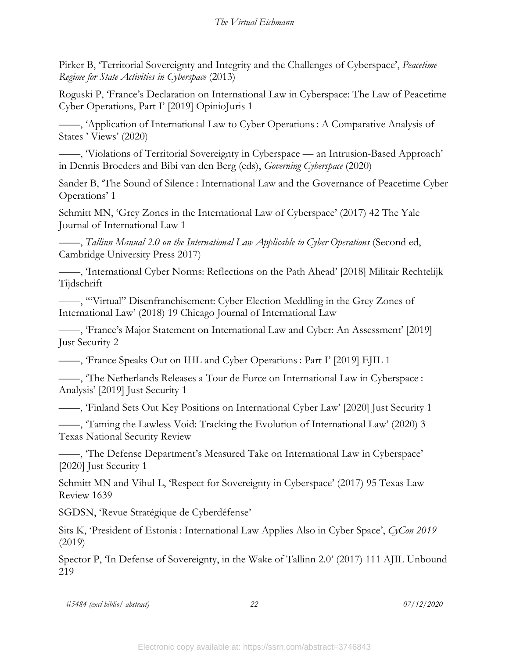Pirker B, 'Territorial Sovereignty and Integrity and the Challenges of Cyberspace', *Peacetime Regime for State Activities in Cyberspace* (2013)

Roguski P, 'France's Declaration on International Law in Cyberspace: The Law of Peacetime Cyber Operations, Part I' [2019] OpinioJuris 1

——, 'Application of International Law to Cyber Operations : A Comparative Analysis of States ' Views' (2020)

——, 'Violations of Territorial Sovereignty in Cyberspace — an Intrusion-Based Approach' in Dennis Broeders and Bibi van den Berg (eds), *Governing Cyberspace* (2020)

Sander B, 'The Sound of Silence : International Law and the Governance of Peacetime Cyber Operations' 1

Schmitt MN, 'Grey Zones in the International Law of Cyberspace' (2017) 42 The Yale Journal of International Law 1

——, *Tallinn Manual 2.0 on the International Law Applicable to Cyber Operations* (Second ed, Cambridge University Press 2017)

——, 'International Cyber Norms: Reflections on the Path Ahead' [2018] Militair Rechtelijk Tijdschrift

——, '"Virtual" Disenfranchisement: Cyber Election Meddling in the Grey Zones of International Law' (2018) 19 Chicago Journal of International Law

——, 'France's Major Statement on International Law and Cyber: An Assessment' [2019] Just Security 2

——, 'France Speaks Out on IHL and Cyber Operations : Part I' [2019] EJIL 1

——, 'The Netherlands Releases a Tour de Force on International Law in Cyberspace : Analysis' [2019] Just Security 1

——, 'Finland Sets Out Key Positions on International Cyber Law' [2020] Just Security 1

——, 'Taming the Lawless Void: Tracking the Evolution of International Law' (2020) 3 Texas National Security Review

——, 'The Defense Department's Measured Take on International Law in Cyberspace' [2020] Just Security 1

Schmitt MN and Vihul L, 'Respect for Sovereignty in Cyberspace' (2017) 95 Texas Law Review 1639

SGDSN, 'Revue Stratégique de Cyberdéfense'

Sits K, 'President of Estonia : International Law Applies Also in Cyber Space', *CyCon 2019* (2019)

Spector P, 'In Defense of Sovereignty, in the Wake of Tallinn 2.0' (2017) 111 AJIL Unbound 219

*#5484 (excl biblio/ abstract) 22 07/12/2020*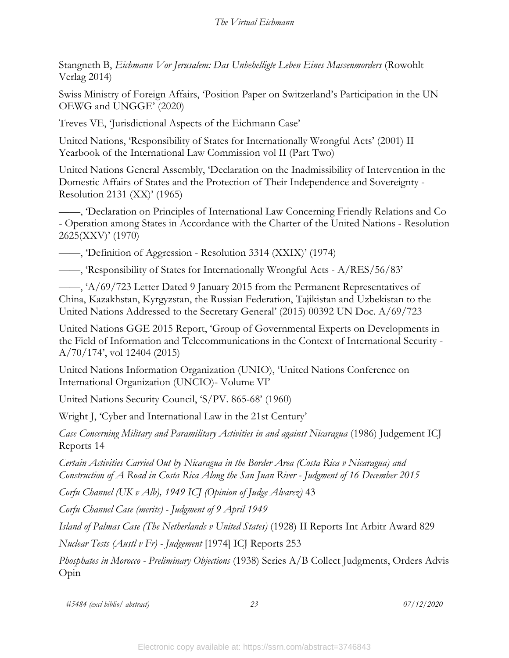Stangneth B, *Eichmann Vor Jerusalem: Das Unbehelligte Leben Eines Massenmorders* (Rowohlt Verlag 2014)

Swiss Ministry of Foreign Affairs, 'Position Paper on Switzerland's Participation in the UN OEWG and UNGGE' (2020)

Treves VE, 'Jurisdictional Aspects of the Eichmann Case'

United Nations, 'Responsibility of States for Internationally Wrongful Acts' (2001) II Yearbook of the International Law Commission vol II (Part Two)

United Nations General Assembly, 'Declaration on the Inadmissibility of Intervention in the Domestic Affairs of States and the Protection of Their Independence and Sovereignty - Resolution 2131 (XX)' (1965)

——, 'Declaration on Principles of International Law Concerning Friendly Relations and Co Operation among States in Accordance with the Charter of the United Nations - Resolution 2625(XXV)' (1970)

——, 'Definition of Aggression - Resolution 3314 (XXIX)' (1974)

——, 'Responsibility of States for Internationally Wrongful Acts - A/RES/56/83'

——, 'A/69/723 Letter Dated 9 January 2015 from the Permanent Representatives of China, Kazakhstan, Kyrgyzstan, the Russian Federation, Tajikistan and Uzbekistan to the United Nations Addressed to the Secretary General' (2015) 00392 UN Doc. A/69/723

United Nations GGE 2015 Report, 'Group of Governmental Experts on Developments in the Field of Information and Telecommunications in the Context of International Security - A/70/174', vol 12404 (2015)

United Nations Information Organization (UNIO), 'United Nations Conference on International Organization (UNCIO)- Volume VI'

United Nations Security Council, 'S/PV. 865-68' (1960)

Wright J, 'Cyber and International Law in the 21st Century'

*Case Concerning Military and Paramilitary Activities in and against Nicaragua* (1986) Judgement ICJ Reports 14

*Certain Activities Carried Out by Nicaragua in the Border Area (Costa Rica v Nicaragua) and Construction of A Road in Costa Rica Along the San Juan River - Judgment of 16 December 2015*

*Corfu Channel (UK v Alb), 1949 ICJ (Opinion of Judge Alvarez)* 43

*Corfu Channel Case (merits) - Judgment of 9 April 1949*

*Island of Palmas Case (The Netherlands v United States)* (1928) II Reports Int Arbitr Award 829

*Nuclear Tests (Austl v Fr) - Judgement* [1974] ICJ Reports 253

*Phosphates in Morocco - Preliminary Objections* (1938) Series A/B Collect Judgments, Orders Advis Opin

*#5484 (excl biblio/ abstract) 23 07/12/2020*